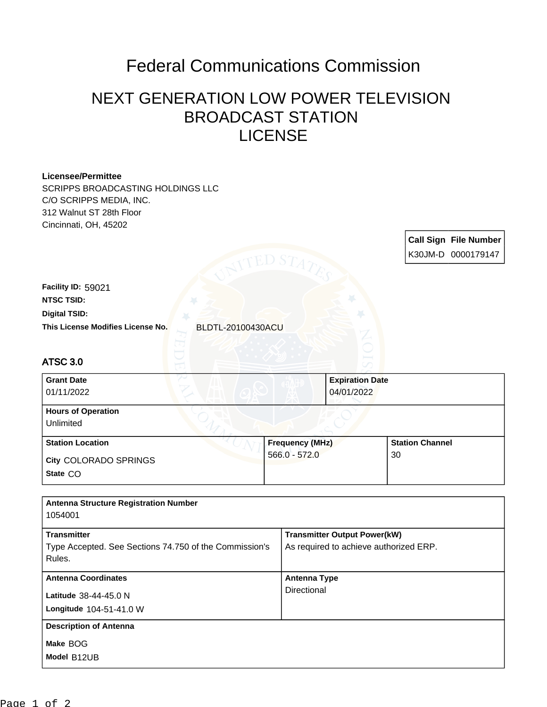## Federal Communications Commission

## NEXT GENERATION LOW POWER TELEVISION BROADCAST STATION LICENSE

| <b>Licensee/Permittee</b><br>SCRIPPS BROADCASTING HOLDINGS LLC<br>C/O SCRIPPS MEDIA, INC.<br>312 Walnut ST 28th Floor<br>Cincinnati, OH, 45202 |                 |                                        |                        |                       |
|------------------------------------------------------------------------------------------------------------------------------------------------|-----------------|----------------------------------------|------------------------|-----------------------|
|                                                                                                                                                |                 |                                        |                        | Call Sign File Number |
|                                                                                                                                                | ED S'           |                                        |                        | K30JM-D 0000179147    |
| Facility ID: 59021                                                                                                                             |                 |                                        |                        |                       |
| <b>NTSC TSID:</b>                                                                                                                              |                 |                                        |                        |                       |
| <b>Digital TSID:</b>                                                                                                                           |                 |                                        |                        |                       |
| This License Modifies License No.<br><b>BLDTL-20100430ACU</b>                                                                                  |                 |                                        |                        |                       |
| <b>ATSC 3.0</b>                                                                                                                                |                 |                                        |                        |                       |
| <b>Grant Date</b><br>01/11/2022                                                                                                                |                 | <b>Expiration Date</b><br>04/01/2022   |                        |                       |
| <b>Hours of Operation</b><br>Unlimited                                                                                                         |                 |                                        |                        |                       |
| <b>Station Location</b>                                                                                                                        | Frequency (MHz) |                                        | <b>Station Channel</b> |                       |
| City COLORADO SPRINGS                                                                                                                          | $566.0 - 572.0$ |                                        | 30                     |                       |
| State CO                                                                                                                                       |                 |                                        |                        |                       |
| <b>Antenna Structure Registration Number</b><br>1054001                                                                                        |                 |                                        |                        |                       |
| <b>Transmitter</b><br><b>Transmitter Output Power(kW)</b>                                                                                      |                 |                                        |                        |                       |
| Type Accepted. See Sections 74.750 of the Commission's<br>Rules.                                                                               |                 | As required to achieve authorized ERP. |                        |                       |
| <b>Antenna Coordinates</b>                                                                                                                     |                 | <b>Antenna Type</b>                    |                        |                       |
| Latitude 38-44-45.0 N                                                                                                                          |                 | Directional                            |                        |                       |
| Longitude 104-51-41.0 W                                                                                                                        |                 |                                        |                        |                       |
| <b>Description of Antenna</b>                                                                                                                  |                 |                                        |                        |                       |
| Make BOG                                                                                                                                       |                 |                                        |                        |                       |
| Model B12UB                                                                                                                                    |                 |                                        |                        |                       |